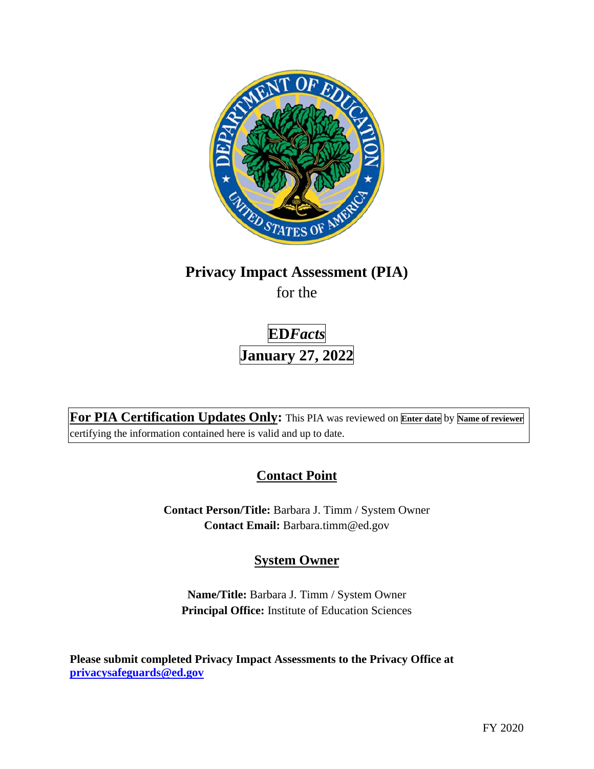

# **Privacy Impact Assessment (PIA)**

for the

**ED***Facts*  **January 27, 2022** 

**For PIA Certification Updates Only:** This PIA was reviewed on **Enter date** by **Name of reviewer**  certifying the information contained here is valid and up to date.

# **Contact Point**

**Contact Person/Title:** Barbara J. Timm / System Owner **Contact Email:** [Barbara.timm@ed.gov](mailto:Barbara.timm@ed.gov) 

# **System Owner**

**Name/Title:** Barbara J. Timm / System Owner **Principal Office:** Institute of Education Sciences

**Please submit completed Privacy Impact Assessments to the Privacy Office at [privacysafeguards@ed.gov](mailto:privacysafeguards@ed.gov)**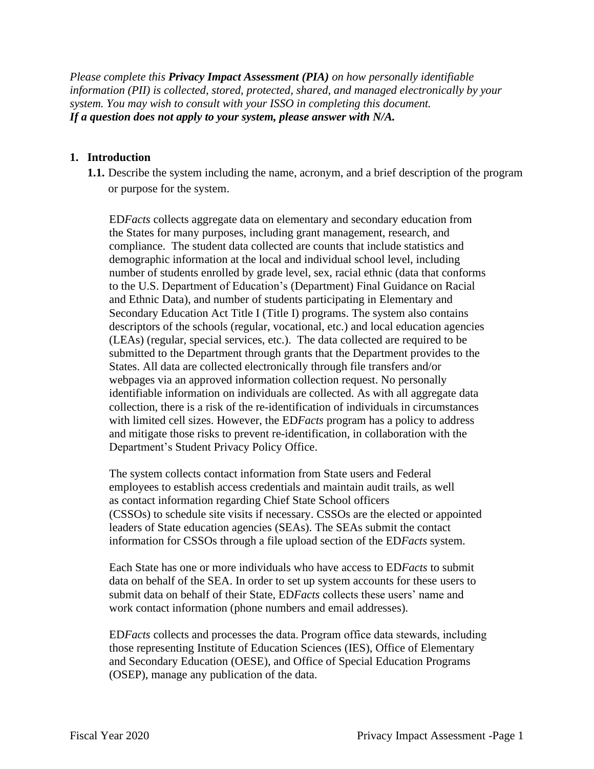*Please complete this Privacy Impact Assessment (PIA) on how personally identifiable information (PII) is collected, stored, protected, shared, and managed electronically by your system. You may wish to consult with your ISSO in completing this document. If a question does not apply to your system, please answer with N/A.* 

#### **1. Introduction**

**1.1.** Describe the system including the name, acronym, and a brief description of the program or purpose for the system.

ED*Facts* collects aggregate data on elementary and secondary education from the States for many purposes, including grant management, research, and compliance. The student data collected are counts that include statistics and demographic information at the local and individual school level, including number of students enrolled by grade level, sex, racial ethnic (data that conforms to the U.S. Department of Education's (Department) Final Guidance on Racial and Ethnic Data), and number of students participating in Elementary and Secondary Education Act Title I (Title I) programs. The system also contains descriptors of the schools (regular, vocational, etc.) and local education agencies (LEAs) (regular, special services, etc.). The data collected are required to be submitted to the Department through grants that the Department provides to the States. All data are collected electronically through file transfers and/or webpages via an approved information collection request. No personally identifiable information on individuals are collected. As with all aggregate data collection, there is a risk of the re-identification of individuals in circumstances with limited cell sizes. However, the ED*Facts* program has a policy to address and mitigate those risks to prevent re-identification, in collaboration with the Department's Student Privacy Policy Office.

The system collects contact information from State users and Federal employees to establish access credentials and maintain audit trails, as well as contact information regarding Chief State School officers (CSSOs) to schedule site visits if necessary. CSSOs are the elected or appointed leaders of State education agencies (SEAs). The SEAs submit the contact information for CSSOs through a file upload section of the ED*Facts* system.

 submit data on behalf of their State, ED*Facts* collects these users' name and Each State has one or more individuals who have access to ED*Facts* to submit data on behalf of the SEA. In order to set up system accounts for these users to work contact information (phone numbers and email addresses).

ED*Facts* collects and processes the data. Program office data stewards, including those representing Institute of Education Sciences (IES), Office of Elementary and Secondary Education (OESE), and Office of Special Education Programs (OSEP), manage any publication of the data.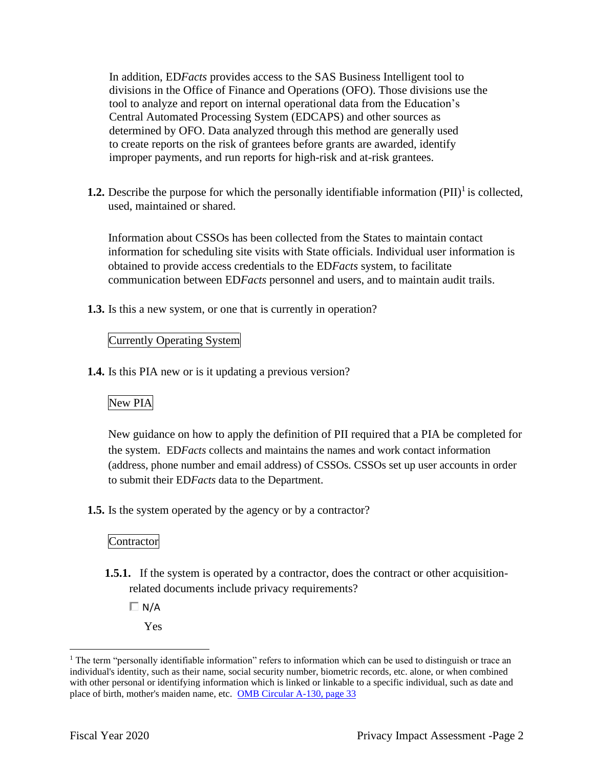In addition, ED*Facts* provides access to the SAS Business Intelligent tool to divisions in the Office of Finance and Operations (OFO). Those divisions use the tool to analyze and report on internal operational data from the Education's Central Automated Processing System (EDCAPS) and other sources as determined by OFO. Data analyzed through this method are generally used to create reports on the risk of grantees before grants are awarded, identify improper payments, and run reports for high-risk and at-risk grantees.

**1.2.** Describe the purpose for which the personally identifiable information  $(PII)^{1}$  is collected, used, maintained or shared.

Information about CSSOs has been collected from the States to maintain contact information for scheduling site visits with State officials. Individual user information is obtained to provide access credentials to the ED*Facts* system, to facilitate communication between ED*Facts* personnel and users, and to maintain audit trails.

**1.3.** Is this a new system, or one that is currently in operation?

#### Currently Operating System

**1.4.** Is this PIA new or is it updating a previous version?

# New PIA

New guidance on how to apply the definition of PII required that a PIA be completed for the system. ED*Facts* collects and maintains the names and work contact information (address, phone number and email address) of CSSOs. CSSOs set up user accounts in order to submit their ED*Facts* data to the Department.

**1.5.** Is the system operated by the agency or by a contractor?

#### Contractor

- **1.5.1.** If the system is operated by a contractor, does the contract or other acquisitionrelated documents include privacy requirements?
	- $\Box$  N/A
		- Yes

 $1$  The term "personally identifiable information" refers to information which can be used to distinguish or trace an individual's identity, such as their name, social security number, biometric records, etc. alone, or when combined with other personal or identifying information which is linked or linkable to a specific individual, such as date and place of birth, mother's maiden name, etc. OMB Circular A-130, page 33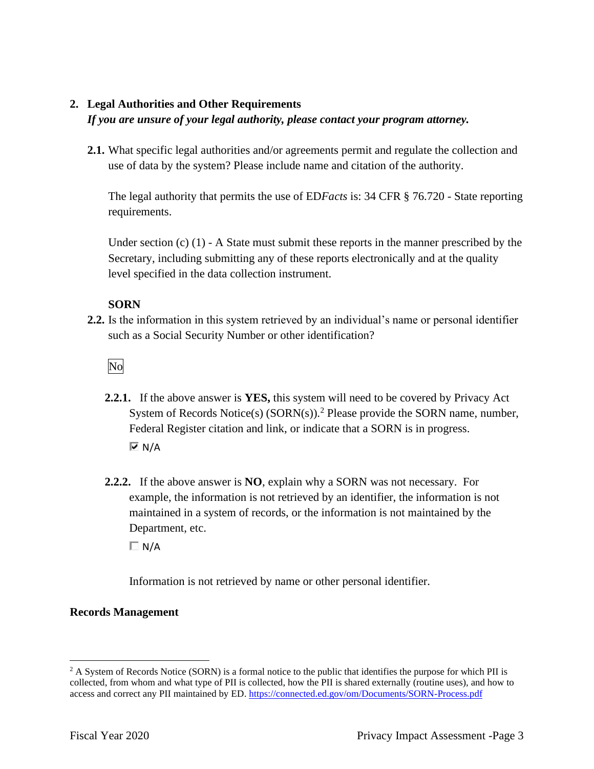# **2. Legal Authorities and Other Requirements**

#### *If you are unsure of your legal authority, please contact your program attorney.*

**2.1.** What specific legal authorities and/or agreements permit and regulate the collection and use of data by the system? Please include name and citation of the authority.

The legal authority that permits the use of ED*Facts* is: 34 CFR § 76.720 - State reporting requirements.

Under section (c) (1) - A State must submit these reports in the manner prescribed by the Secretary, including submitting any of these reports electronically and at the quality level specified in the data collection instrument.

## **SORN**

**2.2.** Is the information in this system retrieved by an individual's name or personal identifier such as a Social Security Number or other identification?

No

- **2.2.1.** If the above answer is **YES,** this system will need to be covered by Privacy Act System of Records Notice(s)  $(SORN(s))$ .<sup>2</sup> Please provide the SORN name, number, Federal Register citation and link, or indicate that a SORN is in progress.  $\overline{M}$  N/A
- Department, etc. **2.2.2.** If the above answer is **NO**, explain why a SORN was not necessary. For example, the information is not retrieved by an identifier, the information is not maintained in a system of records, or the information is not maintained by the

 $\Box$  N/A

Information is not retrieved by name or other personal identifier.

## **Records Management**

 $2 A$  System of Records Notice (SORN) is a formal notice to the public that identifies the purpose for which PII is collected, from whom and what type of PII is collected, how the PII is shared externally (routine uses), and how to access and correct any PII maintained by ED. https://connected.ed.gov/om/Documents/SORN-Process.pdf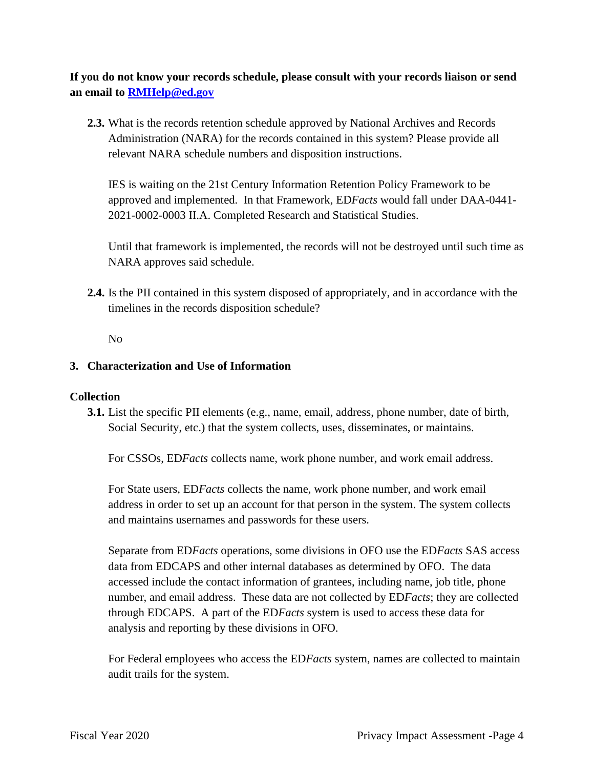**If you do not know your records schedule, please consult with your records liaison or send an email to [RMHelp@ed.gov](mailto:RMHelp@ed.gov)** 

**2.3.** What is the records retention schedule approved by National Archives and Records Administration (NARA) for the records contained in this system? Please provide all relevant NARA schedule numbers and disposition instructions.

IES is waiting on the 21st Century Information Retention Policy Framework to be approved and implemented. In that Framework, ED*Facts* would fall under DAA-0441- 2021-0002-0003 II.A. Completed Research and Statistical Studies.

Until that framework is implemented, the records will not be destroyed until such time as NARA approves said schedule.

**2.4.** Is the PII contained in this system disposed of appropriately, and in accordance with the timelines in the records disposition schedule?

No

## **3. Characterization and Use of Information**

#### **Collection**

**3.1.** List the specific PII elements (e.g., name, email, address, phone number, date of birth, Social Security, etc.) that the system collects, uses, disseminates, or maintains.

For CSSOs, ED*Facts* collects name, work phone number, and work email address.

For State users, ED*Facts* collects the name, work phone number, and work email address in order to set up an account for that person in the system. The system collects and maintains usernames and passwords for these users.

Separate from ED*Facts* operations, some divisions in OFO use the ED*Facts* SAS access data from EDCAPS and other internal databases as determined by OFO. The data accessed include the contact information of grantees, including name, job title, phone number, and email address. These data are not collected by ED*Facts*; they are collected through EDCAPS. A part of the ED*Facts* system is used to access these data for analysis and reporting by these divisions in OFO.

For Federal employees who access the ED*Facts* system, names are collected to maintain audit trails for the system.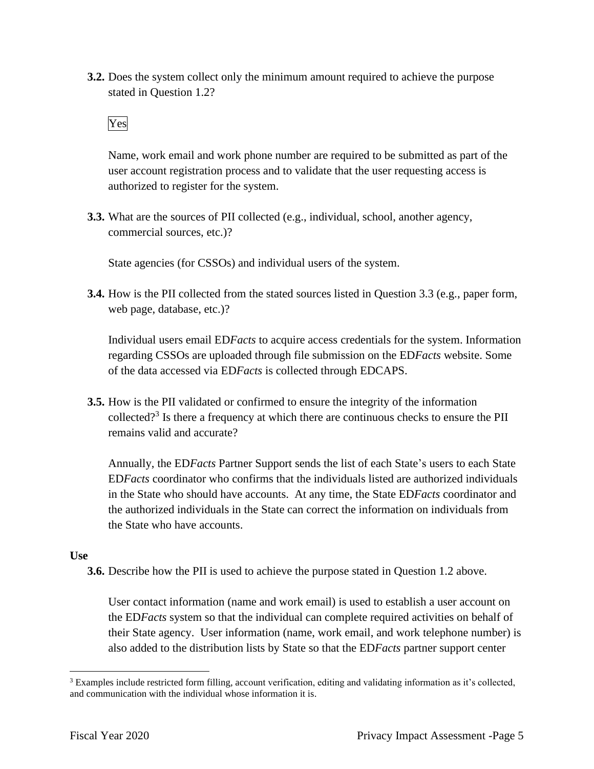**3.2.** Does the system collect only the minimum amount required to achieve the purpose stated in Question 1.2?

# Yes

 Name, work email and work phone number are required to be submitted as part of the user account registration process and to validate that the user requesting access is authorized to register for the system.

**3.3.** What are the sources of PII collected (e.g., individual, school, another agency, commercial sources, etc.)?

State agencies (for CSSOs) and individual users of the system.

**3.4.** How is the PII collected from the stated sources listed in Question 3.3 (e.g., paper form, web page, database, etc.)?

Individual users email ED*Facts* to acquire access credentials for the system. Information regarding CSSOs are uploaded through file submission on the ED*Facts* website. Some of the data accessed via ED*Facts* is collected through EDCAPS.

collected?<sup>3</sup> Is there a frequency at which there are continuous checks to ensure the PII **3.5.** How is the PII validated or confirmed to ensure the integrity of the information remains valid and accurate?

Annually, the ED*Facts* Partner Support sends the list of each State's users to each State ED*Facts* coordinator who confirms that the individuals listed are authorized individuals in the State who should have accounts. At any time, the State ED*Facts* coordinator and the authorized individuals in the State can correct the information on individuals from the State who have accounts.

#### **Use**

**3.6.** Describe how the PII is used to achieve the purpose stated in Question 1.2 above.

User contact information (name and work email) is used to establish a user account on the ED*Facts* system so that the individual can complete required activities on behalf of their State agency. User information (name, work email, and work telephone number) is also added to the distribution lists by State so that the ED*Facts* partner support center

 $3$  Examples include restricted form filling, account verification, editing and validating information as it's collected, and communication with the individual whose information it is.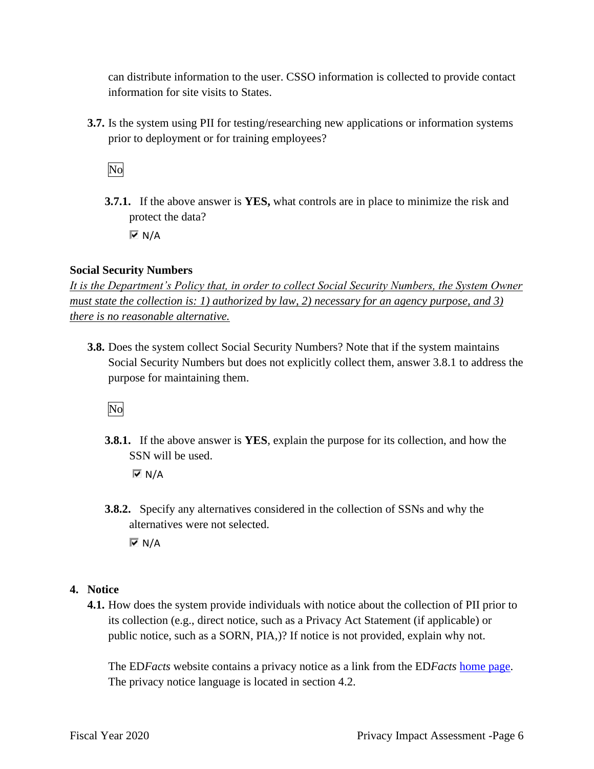can distribute information to the user. CSSO information is collected to provide contact information for site visits to States.

**3.7.** Is the system using PII for testing/researching new applications or information systems prior to deployment or for training employees?

No

**3.7.1.** If the above answer is **YES,** what controls are in place to minimize the risk and protect the data?  $\overline{\triangledown}$  N/A

## **Social Security Numbers**

*It is the Department's Policy that, in order to collect Social Security Numbers, the System Owner must state the collection is: 1) authorized by law, 2) necessary for an agency purpose, and 3) there is no reasonable alternative.* 

**3.8.** Does the system collect Social Security Numbers? Note that if the system maintains Social Security Numbers but does not explicitly collect them, answer 3.8.1 to address the purpose for maintaining them.

No

**3.8.1.** If the above answer is **YES**, explain the purpose for its collection, and how the SSN will be used.

 $\overline{M}$  N/A

**3.8.2.** Specify any alternatives considered in the collection of SSNs and why the alternatives were not selected.

 $\overline{M}$  N/A

# **4. Notice**

**4.1.** How does the system provide individuals with notice about the collection of PII prior to its collection (e.g., direct notice, such as a Privacy Act Statement (if applicable) or public notice, such as a SORN, PIA,)? If notice is not provided, explain why not.

The ED*Facts* website contains a privacy notice as a link from the ED*Facts* home page. The privacy notice language is located in section 4.2.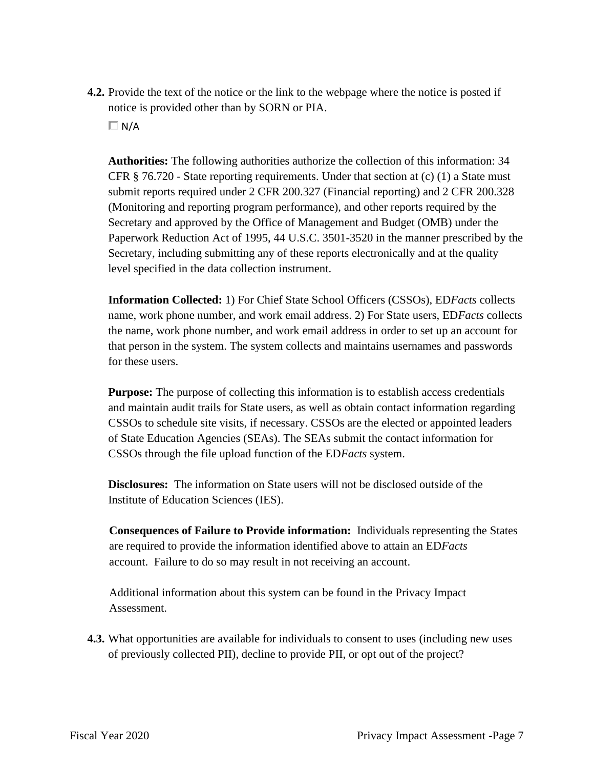**4.2.** Provide the text of the notice or the link to the webpage where the notice is posted if notice is provided other than by SORN or PIA.

 $\Box$  N/A

**Authorities:** The following authorities authorize the collection of this information: 34 CFR  $\S$  76.720 - State reporting requirements. Under that section at (c) (1) a State must submit reports required under 2 CFR 200.327 (Financial reporting) and 2 CFR 200.328 (Monitoring and reporting program performance), and other reports required by the Secretary and approved by the Office of Management and Budget (OMB) under the Paperwork Reduction Act of 1995, 44 U.S.C. 3501-3520 in the manner prescribed by the Secretary, including submitting any of these reports electronically and at the quality level specified in the data collection instrument.

**Information Collected:** 1) For Chief State School Officers (CSSOs), ED*Facts* collects name, work phone number, and work email address. 2) For State users, ED*Facts* collects the name, work phone number, and work email address in order to set up an account for that person in the system. The system collects and maintains usernames and passwords for these users.

**Purpose:** The purpose of collecting this information is to establish access credentials and maintain audit trails for State users, as well as obtain contact information regarding CSSOs to schedule site visits, if necessary. CSSOs are the elected or appointed leaders of State Education Agencies (SEAs). The SEAs submit the contact information for CSSOs through the file upload function of the ED*Facts* system.

**Disclosures:** The information on State users will not be disclosed outside of the Institute of Education Sciences (IES).

**Consequences of Failure to Provide information:** Individuals representing the States are required to provide the information identified above to attain an ED*Facts*  account. Failure to do so may result in not receiving an account.

Additional information about this system can be found in the Privacy Impact Assessment.

**4.3.** What opportunities are available for individuals to consent to uses (including new uses of previously collected PII), decline to provide PII, or opt out of the project?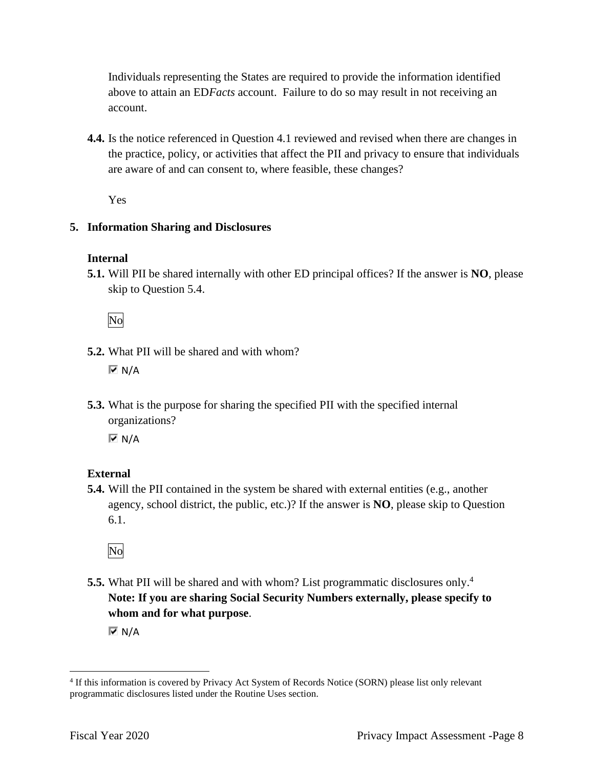Individuals representing the States are required to provide the information identified above to attain an ED*Facts* account. Failure to do so may result in not receiving an account.

**4.4.** Is the notice referenced in Question 4.1 reviewed and revised when there are changes in the practice, policy, or activities that affect the PII and privacy to ensure that individuals are aware of and can consent to, where feasible, these changes?

Yes

## **5. Information Sharing and Disclosures**

#### **Internal**

**5.1.** Will PII be shared internally with other ED principal offices? If the answer is **NO**, please skip to Question 5.4.

No

- **5.2.** What PII will be shared and with whom?  $\overline{M}$  N/A
- **5.3.** What is the purpose for sharing the specified PII with the specified internal organizations?

 $\overline{M}$  N/A

## **External**

**5.4.** Will the PII contained in the system be shared with external entities (e.g., another agency, school district, the public, etc.)? If the answer is **NO**, please skip to Question 6.1.

No

**5.5.** What PII will be shared and with whom? List programmatic disclosures only.<sup>4</sup> **Note: If you are sharing Social Security Numbers externally, please specify to whom and for what purpose**.

 $\overline{M}$  N/A

 4 If this information is covered by Privacy Act System of Records Notice (SORN) please list only relevant programmatic disclosures listed under the Routine Uses section.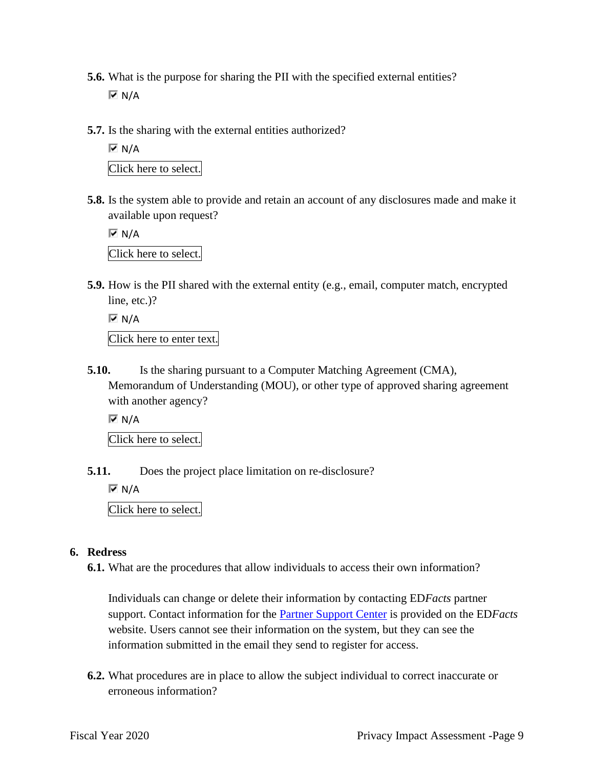- **5.6.** What is the purpose for sharing the PII with the specified external entities?  $\overline{M}$  N/A
- **5.7.** Is the sharing with the external entities authorized?

 $\overline{M}$  N/A Click here to select.

**5.8.** Is the system able to provide and retain an account of any disclosures made and make it available upon request?

 $\overline{M}$  N/A Click here to select.

**5.9.** How is the PII shared with the external entity (e.g., email, computer match, encrypted line, etc.)?

 $\overline{M}$  N/A

Click here to enter text.

**5.10.** Is the sharing pursuant to a Computer Matching Agreement (CMA), Memorandum of Understanding (MOU), or other type of approved sharing agreement with another agency?

 $\overline{M}$  N/A

Click here to select.

**5.11.** Does the project place limitation on re-disclosure?

 $\overline{M}$  N/A

Click here to select.

#### **6. Redress**

**6.1.** What are the procedures that allow individuals to access their own information?

Individuals can change or delete their information by contacting ED*Facts* partner support. Contact information for the Partner Support Center is provided on the ED*Facts*  website. Users cannot see their information on the system, but they can see the information submitted in the email they send to register for access.

**6.2.** What procedures are in place to allow the subject individual to correct inaccurate or erroneous information?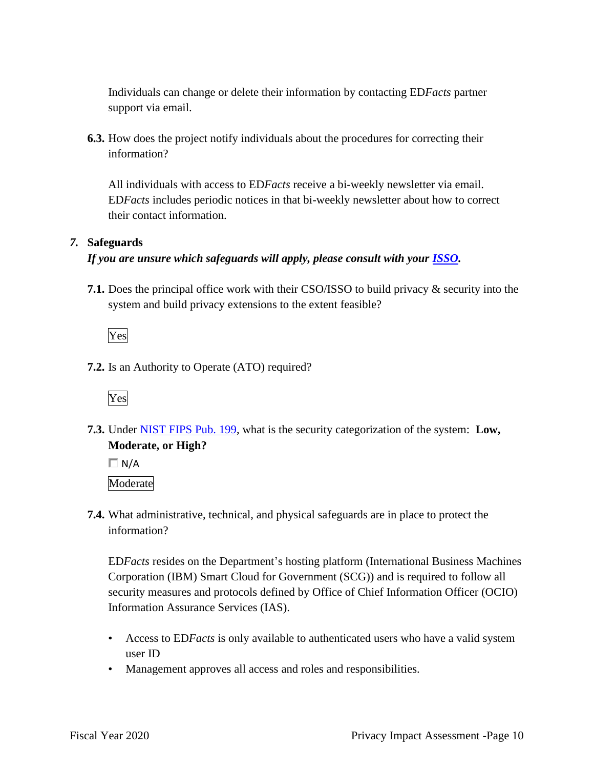Individuals can change or delete their information by contacting ED*Facts* partner support via email.

**6.3.** How does the project notify individuals about the procedures for correcting their information?

 All individuals with access to ED*Facts* receive a bi-weekly newsletter via email. ED*Facts* includes periodic notices in that bi-weekly newsletter about how to correct their contact information.

## *7.* **Safeguards**

## *If you are unsure which safeguards will apply, please consult with your ISSO.*

**7.1.** Does the principal office work with their CSO/ISSO to build privacy & security into the system and build privacy extensions to the extent feasible?

Yes

**7.2.** Is an Authority to Operate (ATO) required?



 **7.3.** Under NIST FIPS Pub. 199, what is the security categorization of the system: **Low, Moderate, or High?** 

 $\Box$  N/A Moderate

**7.4.** What administrative, technical, and physical safeguards are in place to protect the information?

ED*Facts* resides on the Department's hosting platform (International Business Machines Corporation (IBM) Smart Cloud for Government (SCG)) and is required to follow all security measures and protocols defined by Office of Chief Information Officer (OCIO) Information Assurance Services (IAS).

- Access to ED*Facts* is only available to authenticated users who have a valid system user ID
- Management approves all access and roles and responsibilities.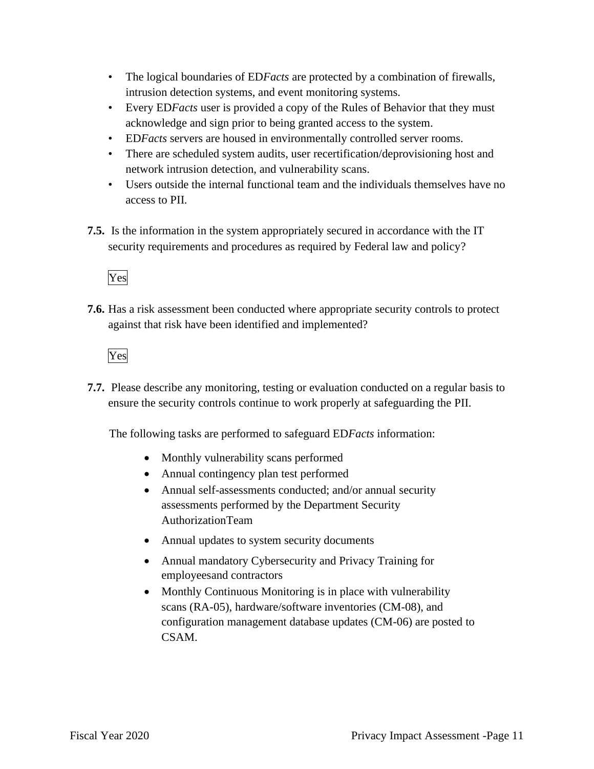- The logical boundaries of ED*Facts* are protected by a combination of firewalls, intrusion detection systems, and event monitoring systems.
- Every ED*Facts* user is provided a copy of the Rules of Behavior that they must acknowledge and sign prior to being granted access to the system.
- ED*Facts* servers are housed in environmentally controlled server rooms.
- There are scheduled system audits, user recertification/deprovisioning host and network intrusion detection, and vulnerability scans.
- Users outside the internal functional team and the individuals themselves have no access to PII.
- **7.5.** Is the information in the system appropriately secured in accordance with the IT security requirements and procedures as required by Federal law and policy?

# Yes

**7.6.** Has a risk assessment been conducted where appropriate security controls to protect against that risk have been identified and implemented?

Yes

**7.7.** Please describe any monitoring, testing or evaluation conducted on a regular basis to ensure the security controls continue to work properly at safeguarding the PII.

The following tasks are performed to safeguard ED*Facts* information:

- Monthly vulnerability scans performed
- Annual contingency plan test performed
- Annual self-assessments conducted; and/or annual security assessments performed by the Department Security AuthorizationTeam
- Annual updates to system security documents
- Annual mandatory Cybersecurity and Privacy Training for employeesand contractors
- Monthly Continuous Monitoring is in place with vulnerability scans (RA-05), hardware/software inventories (CM-08), and configuration management database updates (CM-06) are posted to CSAM.